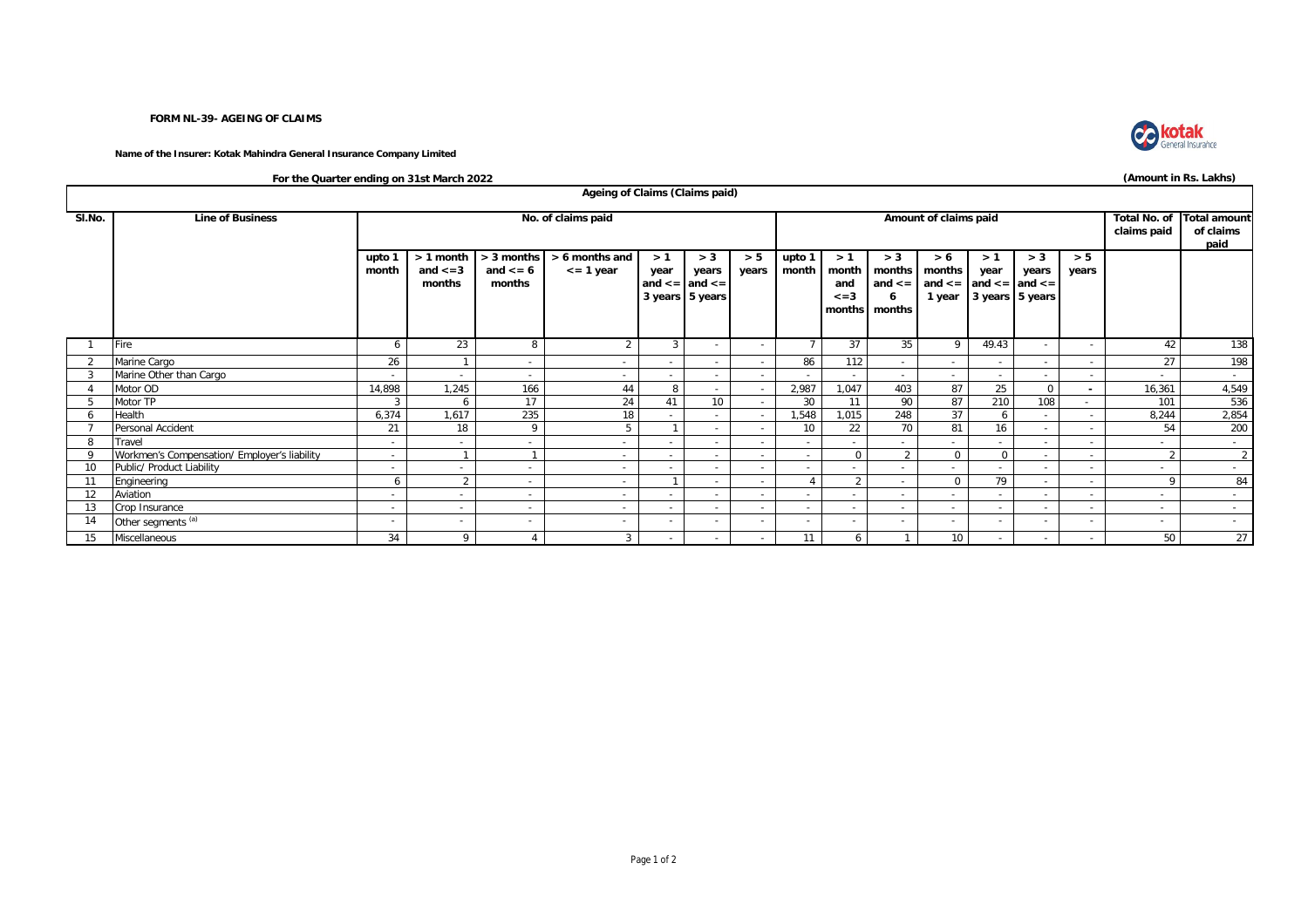## **FORM NL-39- AGEING OF CLAIMS**

**Name of the Insurer: Kotak Mahindra General Insurance Company Limited**



**(Amount in Rs. Lakhs)**

**For the Quarter ending on 31st March 2022**

| Ageing of Claims (Claims paid) |                                              |                          |                                        |                                      |                                   |                          |                                                            |                                    |                                          |                          |                             |                                                                                                                     |            |                                        |                |                          |                 |
|--------------------------------|----------------------------------------------|--------------------------|----------------------------------------|--------------------------------------|-----------------------------------|--------------------------|------------------------------------------------------------|------------------------------------|------------------------------------------|--------------------------|-----------------------------|---------------------------------------------------------------------------------------------------------------------|------------|----------------------------------------|----------------|--------------------------|-----------------|
| SI.No.                         | <b>Line of Business</b>                      |                          |                                        | No. of claims paid                   |                                   |                          |                                                            | <b>Total No. of</b><br>claims paid | <b>Total amount</b><br>of claims<br>paid |                          |                             |                                                                                                                     |            |                                        |                |                          |                 |
|                                |                                              | upto 1<br>month          | $> 1$ month<br>and $\lt$ = 3<br>months | > 3 months<br>and $\leq 6$<br>months | > 6 months and<br>$\leq$ = 1 year | >1<br>year               | > 3<br>years<br>and $\leq$ and $\leq$ =<br>3 years 5 years | > 5<br>years                       | upto 1<br>month                          | >1<br>and<br>$\leq$ = 3  | > 3<br>6<br>months   months | > 6<br>month   months   months  <br>and $\le$ = $\vert$ and $\le$ = $\vert$ and $\le$ = $\vert$ and $\le$ = $\vert$ | >1<br>year | > 3<br>years<br>1 year 3 years 5 years | > 5<br>years   |                          |                 |
|                                | Fire                                         | 6                        | 23                                     | 8                                    | $\overline{2}$                    | 3                        |                                                            | $\overline{\phantom{0}}$           |                                          | 37                       | 35                          | 9                                                                                                                   | 49.43      |                                        |                | 42                       | 138             |
|                                | Marine Cargo                                 | 26                       |                                        | $\sim$                               | $\sim$                            | $\sim$                   | $\overline{a}$                                             | $\sim$                             | 86                                       | 112                      | $\sim$                      | $\sim$                                                                                                              | $\sim$     | $\sim$                                 | $\sim$         | 27                       | 198             |
|                                | Marine Other than Cargo                      |                          |                                        | $\sim$                               |                                   |                          |                                                            |                                    |                                          |                          |                             | $\sim$                                                                                                              | $\sim$     |                                        |                |                          | $\sim$          |
|                                | Motor OD                                     | 14,898                   | 1,245                                  | 166                                  | 44                                | 8                        |                                                            |                                    | 2,987                                    | 1.047                    | 403                         | 87                                                                                                                  | 25         | $\mathbf 0$                            | $\blacksquare$ | 16,361                   | 4,549           |
|                                | Motor TP                                     | 3                        | 6                                      | 17                                   | 24                                | 41                       | 10                                                         |                                    | 30                                       | 11                       | 90                          | 87                                                                                                                  | 210        | 108                                    | $\sim$         | 101                      | 536             |
|                                | Health                                       | 6,374                    | 1,617                                  | 235                                  | 18                                | $\sim$                   | $\sim$                                                     | $\sim$                             | 1,548                                    | 1,015                    | 248                         | 37                                                                                                                  | 6          | $\sim$                                 | $\sim$         | 8,244                    | 2,854           |
|                                | Personal Accident                            | 21                       | 18                                     | 9                                    | 5                                 |                          |                                                            |                                    | 10                                       | 22                       | 70                          | 81                                                                                                                  | 16         |                                        |                | 54                       | 200             |
| 8                              | Travel                                       | $\overline{\phantom{a}}$ | $\sim$                                 | $\sim$                               | $\sim$                            | $\sim$                   | $\overline{\phantom{a}}$                                   | $\sim$                             |                                          | $\overline{\phantom{0}}$ | $\sim$                      | $\sim$                                                                                                              | $\sim$     | $\sim$                                 | $\sim$         |                          | $\sim$          |
|                                | Workmen's Compensation/ Employer's liability | $\sim$                   |                                        |                                      | $\sim$                            | $\sim$                   | $\overline{a}$                                             | $\sim$                             | $\sim$                                   | $\Omega$                 | $\overline{2}$              | $\Omega$                                                                                                            | $\Omega$   | $\sim$                                 | $\sim$         | $\sim$                   | 2               |
| 10                             | Public/ Product Liability                    | $\overline{\phantom{a}}$ | $\overline{\phantom{a}}$               | $\sim$                               | $\sim$                            | $\overline{\phantom{a}}$ | $\overline{\phantom{a}}$                                   | $\overline{\phantom{a}}$           |                                          | $\overline{\phantom{0}}$ | $\sim$                      | $\sim$                                                                                                              | $\sim$     | $\overline{\phantom{a}}$               | $\sim$         |                          | $\sim$          |
| 11                             | Engineering                                  | 6                        | $\Omega$                               | $\overline{\phantom{a}}$             | $\sim$                            |                          | $\overline{\phantom{a}}$                                   | $\sim$                             |                                          | 2                        | $\sim$                      | $\overline{0}$                                                                                                      | 79         |                                        |                | $\Omega$                 | 84              |
| 12                             | Aviation                                     | $\overline{\phantom{a}}$ | $\sim$                                 | $\sim$                               | $\sim$                            | $\overline{\phantom{a}}$ | $\overline{\phantom{a}}$                                   | $\sim$                             |                                          | $\sim$                   | $\sim$                      | $\sim$                                                                                                              | $\sim$     | $\overline{\phantom{a}}$               |                | $\overline{\phantom{a}}$ | $\sim$          |
| 13                             | Crop Insurance                               | $\overline{\phantom{a}}$ | $\sim$                                 | $\sim$                               | $\sim$                            | $\sim$                   | $\sim$                                                     | $\sim$                             | $\overline{\phantom{a}}$                 | $\overline{\phantom{a}}$ | $\sim$                      | $\sim$                                                                                                              | $\sim$     | $\overline{\phantom{a}}$               | $\sim$         | $\overline{\phantom{a}}$ | $\sim$          |
| 14                             | Other segments <sup>(a)</sup>                | -                        | $\overline{\phantom{a}}$               | $\overline{\phantom{a}}$             |                                   | $\sim$                   |                                                            | $\sim$                             |                                          |                          | $\sim$                      | $\overline{\phantom{a}}$                                                                                            | $\sim$     |                                        |                |                          | $\sim$          |
| 15                             | Miscellaneous                                | 34                       | $\Omega$                               |                                      | 3                                 | $\sim$                   | $\overline{\phantom{a}}$                                   | $\sim$                             | 11                                       | 6                        |                             | 10 <sup>1</sup>                                                                                                     | $\sim$     | $\sim$                                 |                | 50                       | 27 <sup>1</sup> |